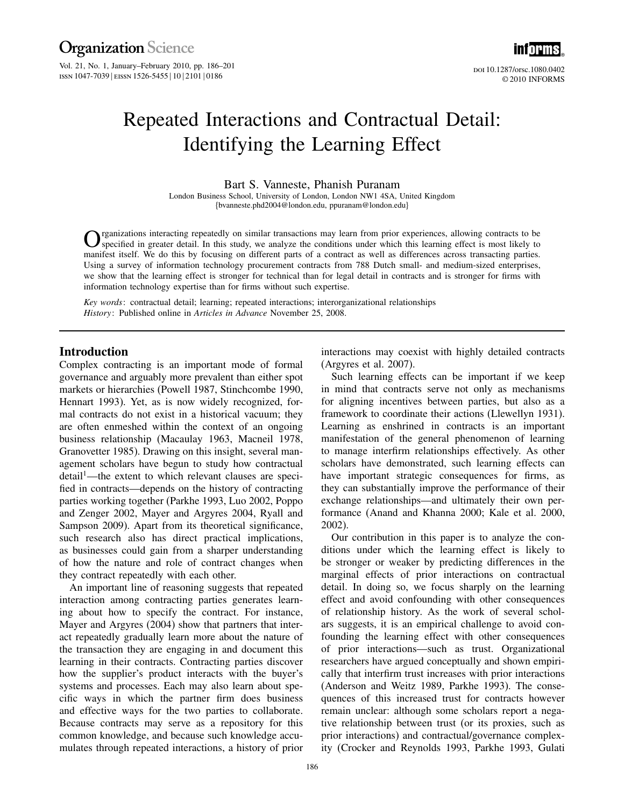ISSN 1047-7039 | EISSN 1526-5455 | 10 | 2101 | 0186

in iorms doi 10.1287/orsc.1080.0402 ©2010 INFORMS

# Repeated Interactions and Contractual Detail: Identifying the Learning Effect

Bart S. Vanneste, Phanish Puranam

London Business School, University of London, London NW1 4SA, United Kingdom {bvanneste.phd2004@london.edu, ppuranam@london.edu}

**O**rganizations interacting repeatedly on similar transactions may learn from prior experiences, allowing contracts to be<br>specified in greater detail. In this study, we analyze the conditions under which this learning effe manifest itself. We do this by focusing on different parts of a contract as well as differences across transacting parties. Using a survey of information technology procurement contracts from 788 Dutch small- and medium-sized enterprises, we show that the learning effect is stronger for technical than for legal detail in contracts and is stronger for firms with information technology expertise than for firms without such expertise.

Key words: contractual detail; learning; repeated interactions; interorganizational relationships History: Published online in Articles in Advance November 25, 2008.

# Introduction

Complex contracting is an important mode of formal governance and arguably more prevalent than either spot markets or hierarchies (Powell 1987, Stinchcombe 1990, Hennart 1993). Yet, as is now widely recognized, formal contracts do not exist in a historical vacuum; they are often enmeshed within the context of an ongoing business relationship (Macaulay 1963, Macneil 1978, Granovetter 1985). Drawing on this insight, several management scholars have begun to study how contractual  $deta1<sup>1</sup>$ —the extent to which relevant clauses are specified in contracts—depends on the history of contracting parties working together (Parkhe 1993, Luo 2002, Poppo and Zenger 2002, Mayer and Argyres 2004, Ryall and Sampson 2009). Apart from its theoretical significance, such research also has direct practical implications, as businesses could gain from a sharper understanding of how the nature and role of contract changes when they contract repeatedly with each other.

An important line of reasoning suggests that repeated interaction among contracting parties generates learning about how to specify the contract. For instance, Mayer and Argyres (2004) show that partners that interact repeatedly gradually learn more about the nature of the transaction they are engaging in and document this learning in their contracts. Contracting parties discover how the supplier's product interacts with the buyer's systems and processes. Each may also learn about specific ways in which the partner firm does business and effective ways for the two parties to collaborate. Because contracts may serve as a repository for this common knowledge, and because such knowledge accumulates through repeated interactions, a history of prior

interactions may coexist with highly detailed contracts (Argyres et al. 2007).

Such learning effects can be important if we keep in mind that contracts serve not only as mechanisms for aligning incentives between parties, but also as a framework to coordinate their actions (Llewellyn 1931). Learning as enshrined in contracts is an important manifestation of the general phenomenon of learning to manage interfirm relationships effectively. As other scholars have demonstrated, such learning effects can have important strategic consequences for firms, as they can substantially improve the performance of their exchange relationships—and ultimately their own performance (Anand and Khanna 2000; Kale et al. 2000, 2002).

Our contribution in this paper is to analyze the conditions under which the learning effect is likely to be stronger or weaker by predicting differences in the marginal effects of prior interactions on contractual detail. In doing so, we focus sharply on the learning effect and avoid confounding with other consequences of relationship history. As the work of several scholars suggests, it is an empirical challenge to avoid confounding the learning effect with other consequences of prior interactions—such as trust. Organizational researchers have argued conceptually and shown empirically that interfirm trust increases with prior interactions (Anderson and Weitz 1989, Parkhe 1993). The consequences of this increased trust for contracts however remain unclear: although some scholars report a negative relationship between trust (or its proxies, such as prior interactions) and contractual/governance complexity (Crocker and Reynolds 1993, Parkhe 1993, Gulati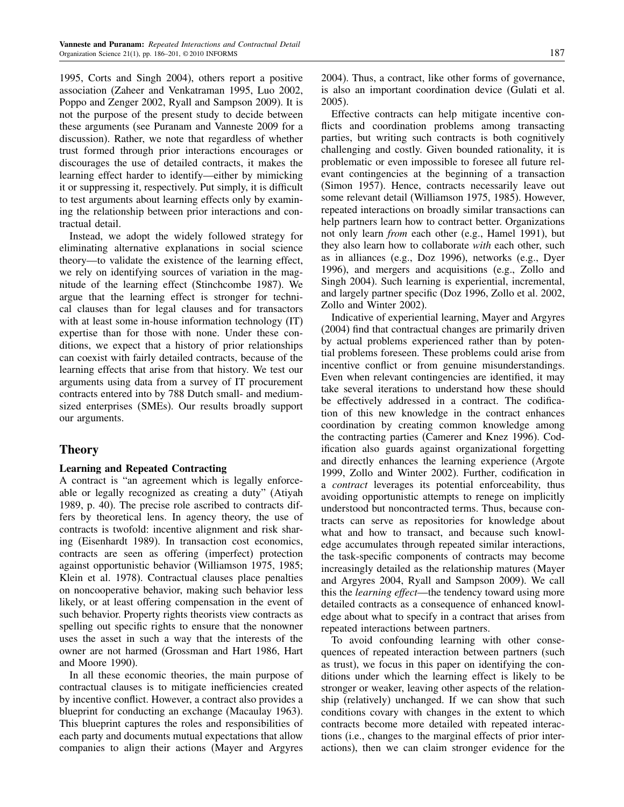1995, Corts and Singh 2004), others report a positive association (Zaheer and Venkatraman 1995, Luo 2002, Poppo and Zenger 2002, Ryall and Sampson 2009). It is not the purpose of the present study to decide between these arguments (see Puranam and Vanneste 2009 for a discussion). Rather, we note that regardless of whether trust formed through prior interactions encourages or discourages the use of detailed contracts, it makes the learning effect harder to identify—either by mimicking it or suppressing it, respectively. Put simply, it is difficult to test arguments about learning effects only by examining the relationship between prior interactions and contractual detail.

Instead, we adopt the widely followed strategy for eliminating alternative explanations in social science theory—to validate the existence of the learning effect, we rely on identifying sources of variation in the magnitude of the learning effect (Stinchcombe 1987). We argue that the learning effect is stronger for technical clauses than for legal clauses and for transactors with at least some in-house information technology (IT) expertise than for those with none. Under these conditions, we expect that a history of prior relationships can coexist with fairly detailed contracts, because of the learning effects that arise from that history. We test our arguments using data from a survey of IT procurement contracts entered into by 788 Dutch small- and mediumsized enterprises (SMEs). Our results broadly support our arguments.

# Theory

# Learning and Repeated Contracting

A contract is "an agreement which is legally enforceable or legally recognized as creating a duty" (Atiyah 1989, p. 40). The precise role ascribed to contracts differs by theoretical lens. In agency theory, the use of contracts is twofold: incentive alignment and risk sharing (Eisenhardt 1989). In transaction cost economics, contracts are seen as offering (imperfect) protection against opportunistic behavior (Williamson 1975, 1985; Klein et al. 1978). Contractual clauses place penalties on noncooperative behavior, making such behavior less likely, or at least offering compensation in the event of such behavior. Property rights theorists view contracts as spelling out specific rights to ensure that the nonowner uses the asset in such a way that the interests of the owner are not harmed (Grossman and Hart 1986, Hart and Moore 1990).

In all these economic theories, the main purpose of contractual clauses is to mitigate inefficiencies created by incentive conflict. However, a contract also provides a blueprint for conducting an exchange (Macaulay 1963). This blueprint captures the roles and responsibilities of each party and documents mutual expectations that allow companies to align their actions (Mayer and Argyres

2004). Thus, a contract, like other forms of governance, is also an important coordination device (Gulati et al. 2005).

Effective contracts can help mitigate incentive conflicts and coordination problems among transacting parties, but writing such contracts is both cognitively challenging and costly. Given bounded rationality, it is problematic or even impossible to foresee all future relevant contingencies at the beginning of a transaction (Simon 1957). Hence, contracts necessarily leave out some relevant detail (Williamson 1975, 1985). However, repeated interactions on broadly similar transactions can help partners learn how to contract better. Organizations not only learn from each other (e.g., Hamel 1991), but they also learn how to collaborate with each other, such as in alliances (e.g., Doz 1996), networks (e.g., Dyer 1996), and mergers and acquisitions (e.g., Zollo and Singh 2004). Such learning is experiential, incremental, and largely partner specific (Doz 1996, Zollo et al. 2002, Zollo and Winter 2002).

Indicative of experiential learning, Mayer and Argyres (2004) find that contractual changes are primarily driven by actual problems experienced rather than by potential problems foreseen. These problems could arise from incentive conflict or from genuine misunderstandings. Even when relevant contingencies are identified, it may take several iterations to understand how these should be effectively addressed in a contract. The codification of this new knowledge in the contract enhances coordination by creating common knowledge among the contracting parties (Camerer and Knez 1996). Codification also guards against organizational forgetting and directly enhances the learning experience (Argote 1999, Zollo and Winter 2002). Further, codification in a contract leverages its potential enforceability, thus avoiding opportunistic attempts to renege on implicitly understood but noncontracted terms. Thus, because contracts can serve as repositories for knowledge about what and how to transact, and because such knowledge accumulates through repeated similar interactions, the task-specific components of contracts may become increasingly detailed as the relationship matures (Mayer and Argyres 2004, Ryall and Sampson 2009). We call this the learning effect—the tendency toward using more detailed contracts as a consequence of enhanced knowledge about what to specify in a contract that arises from repeated interactions between partners.

To avoid confounding learning with other consequences of repeated interaction between partners (such as trust), we focus in this paper on identifying the conditions under which the learning effect is likely to be stronger or weaker, leaving other aspects of the relationship (relatively) unchanged. If we can show that such conditions covary with changes in the extent to which contracts become more detailed with repeated interactions (i.e., changes to the marginal effects of prior interactions), then we can claim stronger evidence for the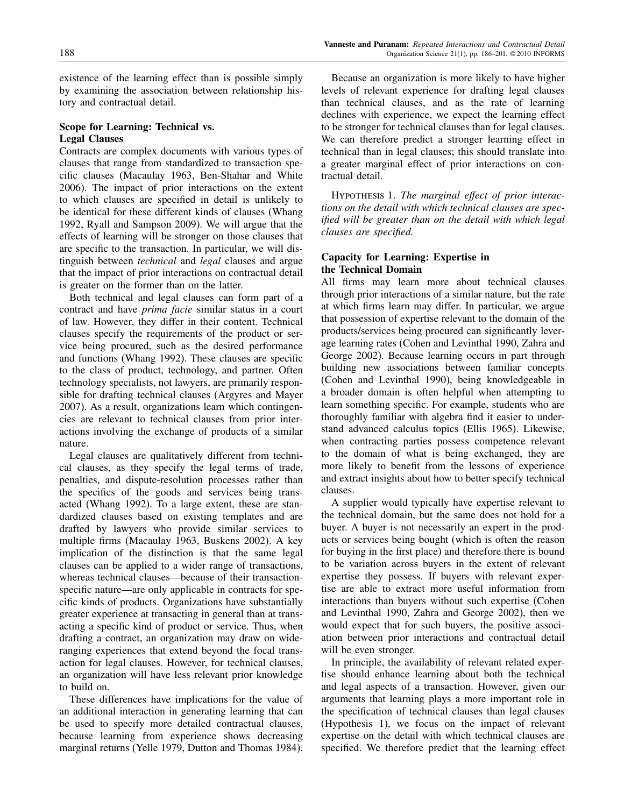existence of the learning effect than is possible simply by examining the association between relationship history and contractual detail.

## Scope for Learning: Technical vs. Legal Clauses

Contracts are complex documents with various types of clauses that range from standardized to transaction specific clauses (Macaulay 1963, Ben-Shahar and White 2006). The impact of prior interactions on the extent to which clauses are specified in detail is unlikely to be identical for these different kinds of clauses (Whang 1992, Ryall and Sampson 2009). We will argue that the effects of learning will be stronger on those clauses that are specific to the transaction. In particular, we will distinguish between technical and legal clauses and argue that the impact of prior interactions on contractual detail is greater on the former than on the latter.

Both technical and legal clauses can form part of a contract and have prima facie similar status in a court of law. However, they differ in their content. Technical clauses specify the requirements of the product or service being procured, such as the desired performance and functions (Whang 1992). These clauses are specific to the class of product, technology, and partner. Often technology specialists, not lawyers, are primarily responsible for drafting technical clauses (Argyres and Mayer 2007). As a result, organizations learn which contingencies are relevant to technical clauses from prior interactions involving the exchange of products of a similar nature.

Legal clauses are qualitatively different from technical clauses, as they specify the legal terms of trade, penalties, and dispute-resolution processes rather than the specifics of the goods and services being transacted (Whang 1992). To a large extent, these are standardized clauses based on existing templates and are drafted by lawyers who provide similar services to multiple firms (Macaulay 1963, Buskens 2002). A key implication of the distinction is that the same legal clauses can be applied to a wider range of transactions, whereas technical clauses—because of their transactionspecific nature—are only applicable in contracts for specific kinds of products. Organizations have substantially greater experience at transacting in general than at transacting a specific kind of product or service. Thus, when drafting a contract, an organization may draw on wideranging experiences that extend beyond the focal transaction for legal clauses. However, for technical clauses, an organization will have less relevant prior knowledge to build on.

These differences have implications for the value of an additional interaction in generating learning that can be used to specify more detailed contractual clauses, because learning from experience shows decreasing marginal returns (Yelle 1979, Dutton and Thomas 1984).

Because an organization is more likely to have higher levels of relevant experience for drafting legal clauses than technical clauses, and as the rate of learning declines with experience, we expect the learning effect to be stronger for technical clauses than for legal clauses. We can therefore predict a stronger learning effect in technical than in legal clauses; this should translate into a greater marginal effect of prior interactions on contractual detail.

Hypothesis 1. The marginal effect of prior interactions on the detail with which technical clauses are specified will be greater than on the detail with which legal clauses are specified.

# Capacity for Learning: Expertise in the Technical Domain

All firms may learn more about technical clauses through prior interactions of a similar nature, but the rate at which firms learn may differ. In particular, we argue that possession of expertise relevant to the domain of the products/services being procured can significantly leverage learning rates (Cohen and Levinthal 1990, Zahra and George 2002). Because learning occurs in part through building new associations between familiar concepts (Cohen and Levinthal 1990), being knowledgeable in a broader domain is often helpful when attempting to learn something specific. For example, students who are thoroughly familiar with algebra find it easier to understand advanced calculus topics (Ellis 1965). Likewise, when contracting parties possess competence relevant to the domain of what is being exchanged, they are more likely to benefit from the lessons of experience and extract insights about how to better specify technical clauses.

A supplier would typically have expertise relevant to the technical domain, but the same does not hold for a buyer. A buyer is not necessarily an expert in the products or services being bought (which is often the reason for buying in the first place) and therefore there is bound to be variation across buyers in the extent of relevant expertise they possess. If buyers with relevant expertise are able to extract more useful information from interactions than buyers without such expertise (Cohen and Levinthal 1990, Zahra and George 2002), then we would expect that for such buyers, the positive association between prior interactions and contractual detail will be even stronger.

In principle, the availability of relevant related expertise should enhance learning about both the technical and legal aspects of a transaction. However, given our arguments that learning plays a more important role in the specification of technical clauses than legal clauses (Hypothesis 1), we focus on the impact of relevant expertise on the detail with which technical clauses are specified. We therefore predict that the learning effect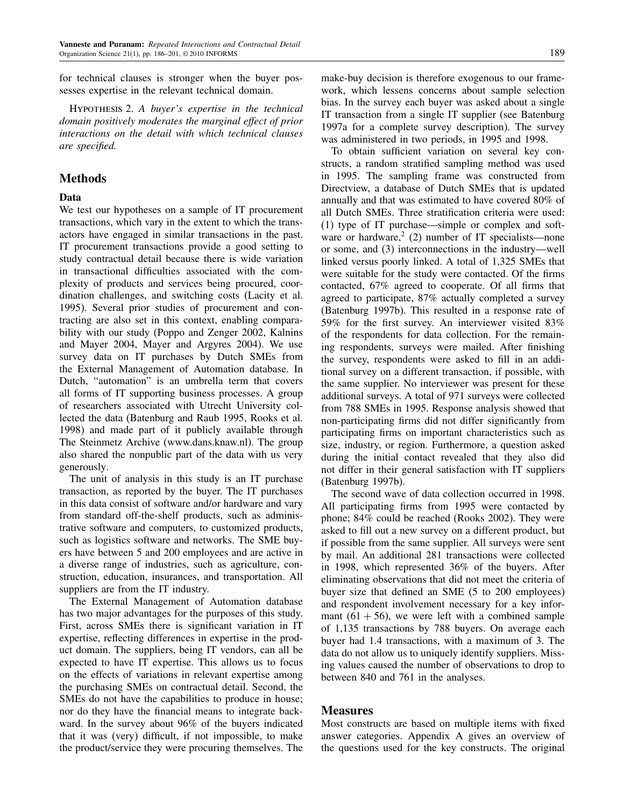for technical clauses is stronger when the buyer possesses expertise in the relevant technical domain.

Hypothesis 2. A buyer's expertise in the technical domain positively moderates the marginal effect of prior interactions on the detail with which technical clauses are specified.

# Methods

# Data

We test our hypotheses on a sample of IT procurement transactions, which vary in the extent to which the transactors have engaged in similar transactions in the past. IT procurement transactions provide a good setting to study contractual detail because there is wide variation in transactional difficulties associated with the complexity of products and services being procured, coordination challenges, and switching costs (Lacity et al. 1995). Several prior studies of procurement and contracting are also set in this context, enabling comparability with our study (Poppo and Zenger 2002, Kalnins and Mayer 2004, Mayer and Argyres 2004). We use survey data on IT purchases by Dutch SMEs from the External Management of Automation database. In Dutch, "automation" is an umbrella term that covers all forms of IT supporting business processes. A group of researchers associated with Utrecht University collected the data (Batenburg and Raub 1995, Rooks et al. 1998) and made part of it publicly available through The Steinmetz Archive (www.dans.knaw.nl). The group also shared the nonpublic part of the data with us very generously.

The unit of analysis in this study is an IT purchase transaction, as reported by the buyer. The IT purchases in this data consist of software and/or hardware and vary from standard off-the-shelf products, such as administrative software and computers, to customized products, such as logistics software and networks. The SME buyers have between 5 and 200 employees and are active in a diverse range of industries, such as agriculture, construction, education, insurances, and transportation. All suppliers are from the IT industry.

The External Management of Automation database has two major advantages for the purposes of this study. First, across SMEs there is significant variation in IT expertise, reflecting differences in expertise in the product domain. The suppliers, being IT vendors, can all be expected to have IT expertise. This allows us to focus on the effects of variations in relevant expertise among the purchasing SMEs on contractual detail. Second, the SMEs do not have the capabilities to produce in house; nor do they have the financial means to integrate backward. In the survey about 96% of the buyers indicated that it was (very) difficult, if not impossible, to make the product/service they were procuring themselves. The make-buy decision is therefore exogenous to our framework, which lessens concerns about sample selection bias. In the survey each buyer was asked about a single IT transaction from a single IT supplier (see Batenburg 1997a for a complete survey description). The survey was administered in two periods, in 1995 and 1998.

To obtain sufficient variation on several key constructs, a random stratified sampling method was used in 1995. The sampling frame was constructed from Directview, a database of Dutch SMEs that is updated annually and that was estimated to have covered 80% of all Dutch SMEs. Three stratification criteria were used: (1) type of IT purchase—simple or complex and software or hardware,  $2(2)$  number of IT specialists—none or some, and (3) interconnections in the industry—well linked versus poorly linked. A total of 1,325 SMEs that were suitable for the study were contacted. Of the firms contacted, 67% agreed to cooperate. Of all firms that agreed to participate, 87% actually completed a survey (Batenburg 1997b). This resulted in a response rate of 59% for the first survey. An interviewer visited 83% of the respondents for data collection. For the remaining respondents, surveys were mailed. After finishing the survey, respondents were asked to fill in an additional survey on a different transaction, if possible, with the same supplier. No interviewer was present for these additional surveys. A total of 971 surveys were collected from 788 SMEs in 1995. Response analysis showed that non-participating firms did not differ significantly from participating firms on important characteristics such as size, industry, or region. Furthermore, a question asked during the initial contact revealed that they also did not differ in their general satisfaction with IT suppliers (Batenburg 1997b).

The second wave of data collection occurred in 1998. All participating firms from 1995 were contacted by phone; 84% could be reached (Rooks 2002). They were asked to fill out a new survey on a different product, but if possible from the same supplier. All surveys were sent by mail. An additional 281 transactions were collected in 1998, which represented 36% of the buyers. After eliminating observations that did not meet the criteria of buyer size that defined an SME (5 to 200 employees) and respondent involvement necessary for a key informant  $(61 + 56)$ , we were left with a combined sample of 1,135 transactions by 788 buyers. On average each buyer had 1.4 transactions, with a maximum of 3. The data do not allow us to uniquely identify suppliers. Missing values caused the number of observations to drop to between 840 and 761 in the analyses.

# **Measures**

Most constructs are based on multiple items with fixed answer categories. Appendix A gives an overview of the questions used for the key constructs. The original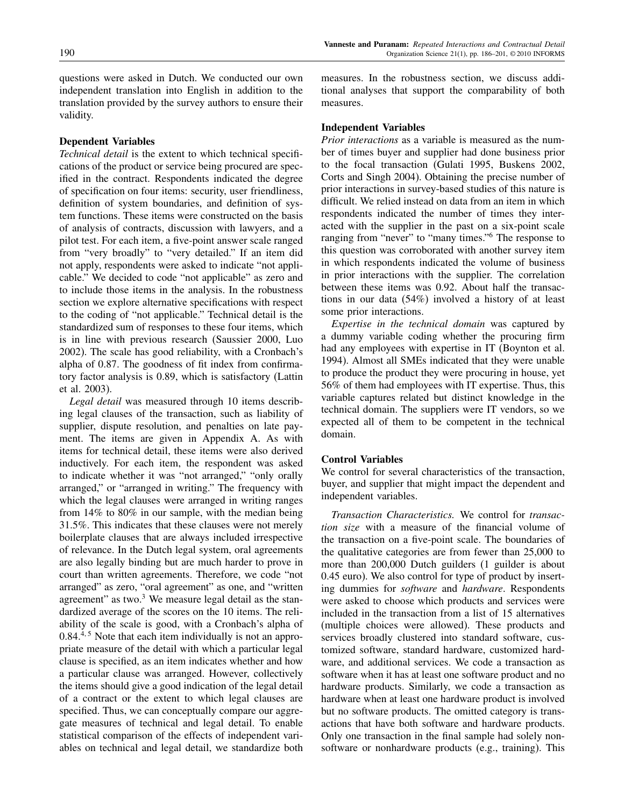questions were asked in Dutch. We conducted our own independent translation into English in addition to the translation provided by the survey authors to ensure their validity.

## Dependent Variables

Technical detail is the extent to which technical specifications of the product or service being procured are specified in the contract. Respondents indicated the degree of specification on four items: security, user friendliness, definition of system boundaries, and definition of system functions. These items were constructed on the basis of analysis of contracts, discussion with lawyers, and a pilot test. For each item, a five-point answer scale ranged from "very broadly" to "very detailed." If an item did not apply, respondents were asked to indicate "not applicable." We decided to code "not applicable" as zero and to include those items in the analysis. In the robustness section we explore alternative specifications with respect to the coding of "not applicable." Technical detail is the standardized sum of responses to these four items, which is in line with previous research (Saussier 2000, Luo 2002). The scale has good reliability, with a Cronbach's alpha of 0.87. The goodness of fit index from confirmatory factor analysis is 0.89, which is satisfactory (Lattin et al. 2003).

Legal detail was measured through 10 items describing legal clauses of the transaction, such as liability of supplier, dispute resolution, and penalties on late payment. The items are given in Appendix A. As with items for technical detail, these items were also derived inductively. For each item, the respondent was asked to indicate whether it was "not arranged," "only orally arranged," or "arranged in writing." The frequency with which the legal clauses were arranged in writing ranges from 14% to 80% in our sample, with the median being 31.5%. This indicates that these clauses were not merely boilerplate clauses that are always included irrespective of relevance. In the Dutch legal system, oral agreements are also legally binding but are much harder to prove in court than written agreements. Therefore, we code "not arranged" as zero, "oral agreement" as one, and "written agreement" as two. $3$  We measure legal detail as the standardized average of the scores on the 10 items. The reliability of the scale is good, with a Cronbach's alpha of  $0.84<sup>4,5</sup>$  Note that each item individually is not an appropriate measure of the detail with which a particular legal clause is specified, as an item indicates whether and how a particular clause was arranged. However, collectively the items should give a good indication of the legal detail of a contract or the extent to which legal clauses are specified. Thus, we can conceptually compare our aggregate measures of technical and legal detail. To enable statistical comparison of the effects of independent variables on technical and legal detail, we standardize both

measures. In the robustness section, we discuss additional analyses that support the comparability of both measures.

## Independent Variables

Prior interactions as a variable is measured as the number of times buyer and supplier had done business prior to the focal transaction (Gulati 1995, Buskens 2002, Corts and Singh 2004). Obtaining the precise number of prior interactions in survey-based studies of this nature is difficult. We relied instead on data from an item in which respondents indicated the number of times they interacted with the supplier in the past on a six-point scale ranging from "never" to "many times."<sup>6</sup> The response to this question was corroborated with another survey item in which respondents indicated the volume of business in prior interactions with the supplier. The correlation between these items was 0.92. About half the transactions in our data (54%) involved a history of at least some prior interactions.

Expertise in the technical domain was captured by a dummy variable coding whether the procuring firm had any employees with expertise in IT (Boynton et al. 1994). Almost all SMEs indicated that they were unable to produce the product they were procuring in house, yet 56% of them had employees with IT expertise. Thus, this variable captures related but distinct knowledge in the technical domain. The suppliers were IT vendors, so we expected all of them to be competent in the technical domain.

## Control Variables

We control for several characteristics of the transaction, buyer, and supplier that might impact the dependent and independent variables.

Transaction Characteristics. We control for transaction size with a measure of the financial volume of the transaction on a five-point scale. The boundaries of the qualitative categories are from fewer than 25,000 to more than 200,000 Dutch guilders (1 guilder is about 0.45 euro). We also control for type of product by inserting dummies for software and hardware. Respondents were asked to choose which products and services were included in the transaction from a list of 15 alternatives (multiple choices were allowed). These products and services broadly clustered into standard software, customized software, standard hardware, customized hardware, and additional services. We code a transaction as software when it has at least one software product and no hardware products. Similarly, we code a transaction as hardware when at least one hardware product is involved but no software products. The omitted category is transactions that have both software and hardware products. Only one transaction in the final sample had solely nonsoftware or nonhardware products (e.g., training). This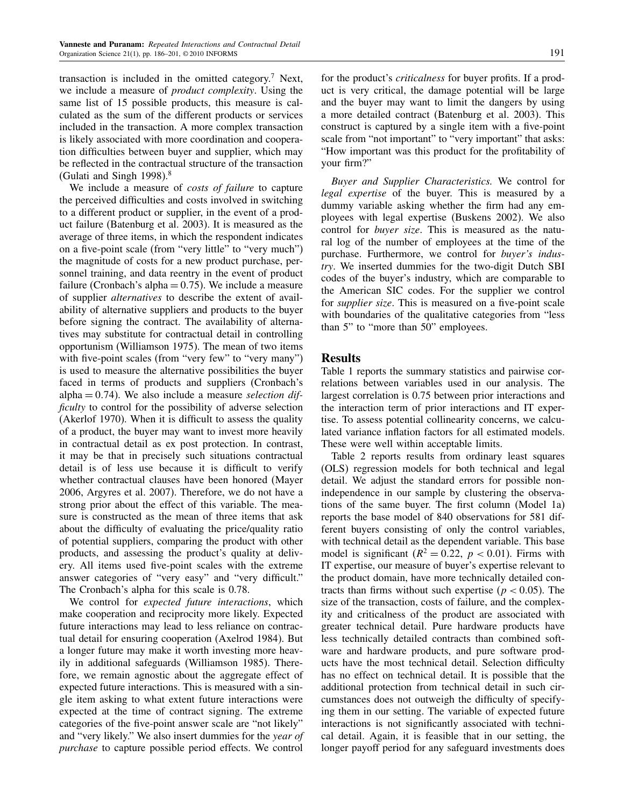transaction is included in the omitted category.<sup>7</sup> Next, we include a measure of product complexity. Using the

same list of 15 possible products, this measure is calculated as the sum of the different products or services included in the transaction. A more complex transaction is likely associated with more coordination and cooperation difficulties between buyer and supplier, which may be reflected in the contractual structure of the transaction (Gulati and Singh 1998). $8$ 

We include a measure of *costs of failure* to capture the perceived difficulties and costs involved in switching to a different product or supplier, in the event of a product failure (Batenburg et al. 2003). It is measured as the average of three items, in which the respondent indicates on a five-point scale (from "very little" to "very much") the magnitude of costs for a new product purchase, personnel training, and data reentry in the event of product failure (Cronbach's alpha  $= 0.75$ ). We include a measure of supplier alternatives to describe the extent of availability of alternative suppliers and products to the buyer before signing the contract. The availability of alternatives may substitute for contractual detail in controlling opportunism (Williamson 1975). The mean of two items with five-point scales (from "very few" to "very many") is used to measure the alternative possibilities the buyer faced in terms of products and suppliers (Cronbach's alpha  $= 0.74$ ). We also include a measure *selection dif*ficulty to control for the possibility of adverse selection (Akerlof 1970). When it is difficult to assess the quality of a product, the buyer may want to invest more heavily in contractual detail as ex post protection. In contrast, it may be that in precisely such situations contractual detail is of less use because it is difficult to verify whether contractual clauses have been honored (Mayer 2006, Argyres et al. 2007). Therefore, we do not have a strong prior about the effect of this variable. The measure is constructed as the mean of three items that ask about the difficulty of evaluating the price/quality ratio of potential suppliers, comparing the product with other products, and assessing the product's quality at delivery. All items used five-point scales with the extreme answer categories of "very easy" and "very difficult." The Cronbach's alpha for this scale is 0.78.

We control for *expected future interactions*, which make cooperation and reciprocity more likely. Expected future interactions may lead to less reliance on contractual detail for ensuring cooperation (Axelrod 1984). But a longer future may make it worth investing more heavily in additional safeguards (Williamson 1985). Therefore, we remain agnostic about the aggregate effect of expected future interactions. This is measured with a single item asking to what extent future interactions were expected at the time of contract signing. The extreme categories of the five-point answer scale are "not likely" and "very likely." We also insert dummies for the year of purchase to capture possible period effects. We control

for the product's criticalness for buyer profits. If a product is very critical, the damage potential will be large and the buyer may want to limit the dangers by using a more detailed contract (Batenburg et al. 2003). This construct is captured by a single item with a five-point scale from "not important" to "very important" that asks: "How important was this product for the profitability of your firm?"

Buyer and Supplier Characteristics. We control for legal expertise of the buyer. This is measured by a dummy variable asking whether the firm had any employees with legal expertise (Buskens 2002). We also control for buyer size. This is measured as the natural log of the number of employees at the time of the purchase. Furthermore, we control for *buyer's indus*try. We inserted dummies for the two-digit Dutch SBI codes of the buyer's industry, which are comparable to the American SIC codes. For the supplier we control for *supplier size*. This is measured on a five-point scale with boundaries of the qualitative categories from "less than 5" to "more than 50" employees.

# **Results**

Table 1 reports the summary statistics and pairwise correlations between variables used in our analysis. The largest correlation is 0.75 between prior interactions and the interaction term of prior interactions and IT expertise. To assess potential collinearity concerns, we calculated variance inflation factors for all estimated models. These were well within acceptable limits.

Table 2 reports results from ordinary least squares (OLS) regression models for both technical and legal detail. We adjust the standard errors for possible nonindependence in our sample by clustering the observations of the same buyer. The first column (Model 1a) reports the base model of 840 observations for 581 different buyers consisting of only the control variables, with technical detail as the dependent variable. This base model is significant  $(R^2 = 0.22, p < 0.01)$ . Firms with IT expertise, our measure of buyer's expertise relevant to the product domain, have more technically detailed contracts than firms without such expertise ( $p < 0.05$ ). The size of the transaction, costs of failure, and the complexity and criticalness of the product are associated with greater technical detail. Pure hardware products have less technically detailed contracts than combined software and hardware products, and pure software products have the most technical detail. Selection difficulty has no effect on technical detail. It is possible that the additional protection from technical detail in such circumstances does not outweigh the difficulty of specifying them in our setting. The variable of expected future interactions is not significantly associated with technical detail. Again, it is feasible that in our setting, the longer payoff period for any safeguard investments does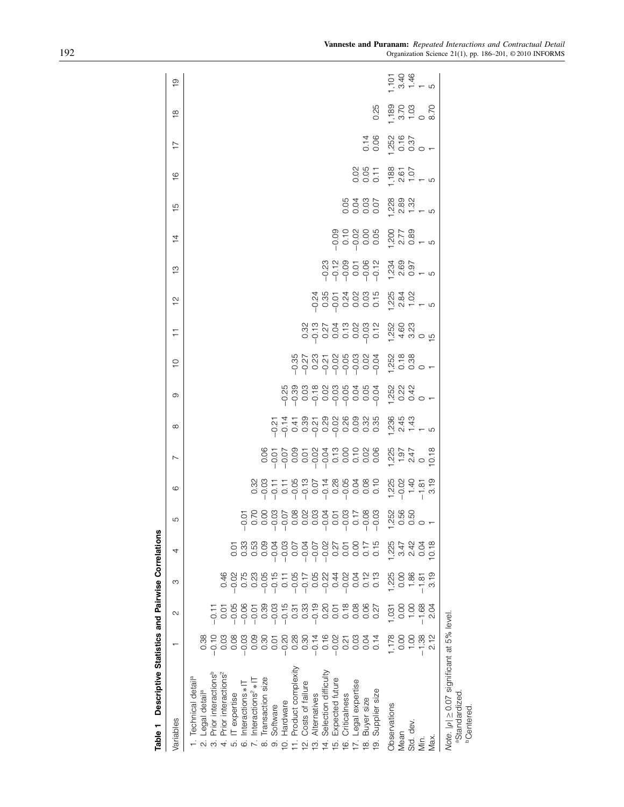| Table 1 Descriptive Statistics and Pairwise Correlations   |                        |                                 |               |                                                           |   |                                                                                                                                                                                                                                                                                                                                                                                                                                        |        |                                      |                                                     |                                              |   |                                          |    |                |               |                                                                                      |                                                         |                                                           |                                             |
|------------------------------------------------------------|------------------------|---------------------------------|---------------|-----------------------------------------------------------|---|----------------------------------------------------------------------------------------------------------------------------------------------------------------------------------------------------------------------------------------------------------------------------------------------------------------------------------------------------------------------------------------------------------------------------------------|--------|--------------------------------------|-----------------------------------------------------|----------------------------------------------|---|------------------------------------------|----|----------------|---------------|--------------------------------------------------------------------------------------|---------------------------------------------------------|-----------------------------------------------------------|---------------------------------------------|
| Variables                                                  |                        | $\sim$                          | S             | 4                                                         | ပ | $\circ$                                                                                                                                                                                                                                                                                                                                                                                                                                | $\sim$ | $^{\circ}$                           | თ                                                   | $\overline{C}$                               | Ξ | $\frac{1}{2}$                            | ίä | $\overline{4}$ | $\frac{5}{1}$ | $\frac{6}{1}$                                                                        | $\overline{1}$                                          | $\frac{8}{1}$                                             | စ္                                          |
| 1. Technical detail <sup>a</sup>                           |                        |                                 |               |                                                           |   |                                                                                                                                                                                                                                                                                                                                                                                                                                        |        |                                      |                                                     |                                              |   |                                          |    |                |               |                                                                                      |                                                         |                                                           |                                             |
| 2. Legal detail <sup>a</sup>                               |                        |                                 |               |                                                           |   |                                                                                                                                                                                                                                                                                                                                                                                                                                        |        |                                      |                                                     |                                              |   |                                          |    |                |               |                                                                                      |                                                         |                                                           |                                             |
| Prior interactions <sup>b</sup>                            | $-0.10$                |                                 |               |                                                           |   |                                                                                                                                                                                                                                                                                                                                                                                                                                        |        |                                      |                                                     |                                              |   |                                          |    |                |               |                                                                                      |                                                         |                                                           |                                             |
| Prior interactions <sup>2</sup>                            |                        |                                 | 0.46          |                                                           |   |                                                                                                                                                                                                                                                                                                                                                                                                                                        |        |                                      |                                                     |                                              |   |                                          |    |                |               |                                                                                      |                                                         |                                                           |                                             |
| IT expertise                                               |                        |                                 |               |                                                           |   |                                                                                                                                                                                                                                                                                                                                                                                                                                        |        |                                      |                                                     |                                              |   |                                          |    |                |               |                                                                                      |                                                         |                                                           |                                             |
| Interactions*I<br>$\frac{1}{6}$                            | $-0.03$                |                                 |               |                                                           |   |                                                                                                                                                                                                                                                                                                                                                                                                                                        |        |                                      |                                                     |                                              |   |                                          |    |                |               |                                                                                      |                                                         |                                                           |                                             |
| 7. Interactions <sup>2</sup> $*$ IT<br>8. Transaction size |                        |                                 |               |                                                           |   |                                                                                                                                                                                                                                                                                                                                                                                                                                        |        |                                      |                                                     |                                              |   |                                          |    |                |               |                                                                                      |                                                         |                                                           |                                             |
|                                                            | 0.30<br>0.01           |                                 |               |                                                           |   |                                                                                                                                                                                                                                                                                                                                                                                                                                        |        |                                      |                                                     |                                              |   |                                          |    |                |               |                                                                                      |                                                         |                                                           |                                             |
| Software<br>$\overline{\circ}$                             |                        |                                 |               |                                                           |   |                                                                                                                                                                                                                                                                                                                                                                                                                                        |        |                                      |                                                     |                                              |   |                                          |    |                |               |                                                                                      |                                                         |                                                           |                                             |
| Hardware<br>$\overline{Q}$                                 | $-0.20$                |                                 |               |                                                           |   |                                                                                                                                                                                                                                                                                                                                                                                                                                        |        |                                      |                                                     |                                              |   |                                          |    |                |               |                                                                                      |                                                         |                                                           |                                             |
| Product complexity                                         | 0.28                   |                                 |               |                                                           |   |                                                                                                                                                                                                                                                                                                                                                                                                                                        |        |                                      |                                                     |                                              |   |                                          |    |                |               |                                                                                      |                                                         |                                                           |                                             |
| Costs of failure                                           | 0.30                   |                                 |               |                                                           |   |                                                                                                                                                                                                                                                                                                                                                                                                                                        |        |                                      |                                                     |                                              |   |                                          |    |                |               |                                                                                      |                                                         |                                                           |                                             |
| Alternatives<br>$\overline{3}$                             | $-0.14$<br>0.16        |                                 |               |                                                           |   |                                                                                                                                                                                                                                                                                                                                                                                                                                        |        |                                      |                                                     |                                              |   |                                          |    |                |               |                                                                                      |                                                         |                                                           |                                             |
| Selection difficulty<br>$\frac{4}{1}$                      |                        |                                 |               |                                                           |   |                                                                                                                                                                                                                                                                                                                                                                                                                                        |        |                                      |                                                     |                                              |   |                                          |    |                |               |                                                                                      |                                                         |                                                           |                                             |
| Expected future<br>$\overline{5}$                          | $-0.02$                |                                 |               |                                                           |   |                                                                                                                                                                                                                                                                                                                                                                                                                                        |        |                                      |                                                     |                                              |   |                                          |    |                |               |                                                                                      |                                                         |                                                           |                                             |
| Criticalness<br>$\overline{6}$                             | 0.21                   |                                 |               |                                                           |   |                                                                                                                                                                                                                                                                                                                                                                                                                                        |        |                                      |                                                     |                                              |   |                                          |    |                |               |                                                                                      |                                                         |                                                           |                                             |
|                                                            |                        |                                 |               |                                                           |   |                                                                                                                                                                                                                                                                                                                                                                                                                                        |        |                                      |                                                     |                                              |   |                                          |    |                |               |                                                                                      |                                                         |                                                           |                                             |
| Legal expertise<br>Buyer size                              | 0.04<br>0.04<br>0.0    |                                 |               |                                                           |   |                                                                                                                                                                                                                                                                                                                                                                                                                                        |        |                                      |                                                     |                                              |   |                                          |    |                |               |                                                                                      |                                                         |                                                           |                                             |
| Supplier size<br>$\overline{9}$                            |                        |                                 |               |                                                           |   | $\begin{array}{l} \mathcal{S}_1 \; \mathcal{S}_2 \; \mathcal{L}_1 \; \mathcal{L}_2 \; \mathcal{L}_3 \; \mathcal{L}_4 \; \mathcal{L}_5 \; \mathcal{L}_6 \; \mathcal{L}_7 \; \mathcal{L}_8 \; \mathcal{L}_7 \; \mathcal{L}_8 \; \mathcal{L}_8 \; \mathcal{L}_9 \; \mathcal{L}_7 \; \mathcal{L}_8 \; \mathcal{L}_9 \; \mathcal{L}_8 \; \mathcal{L}_9 \; \mathcal{L}_9 \; \mathcal{L}_9 \; \mathcal{L}_1 \; \mathcal{L}_1 \; \mathcal{L}_$ |        | dooooooooo Futtr<br>2114898989888884 | doodoodood Gooot<br>Küüstedesed waa<br>Küüstede waa | 8223198394<br>83231983956<br>8323199996 2000 |   | dodoooo isaasi<br>dadaaan waa<br>dadaaan |    |                |               | $0.057$<br>$0.057$<br>$0.057$<br>$0.057$<br>$0.057$<br>$0.057$<br>$0.057$<br>$0.057$ | $0.14$<br>$0.05$<br>$0.52$<br>$0.53$<br>$0.05$<br>$0.7$ | $0.25$<br>$0.89$<br>$0.703$<br>$0.70$<br>$0.70$<br>$0.70$ |                                             |
| <b>Observations</b>                                        | $1,78$<br>0.00<br>1.00 | $7,031$<br>0.00<br>0.00<br>7.68 | 1,225<br>0.00 |                                                           |   |                                                                                                                                                                                                                                                                                                                                                                                                                                        |        |                                      |                                                     |                                              |   |                                          |    |                |               |                                                                                      |                                                         |                                                           |                                             |
| Mean                                                       |                        |                                 |               | $1,225$<br>$3,47$<br>$4,40$<br>$0,18$<br>$0,01$<br>$0,01$ |   |                                                                                                                                                                                                                                                                                                                                                                                                                                        |        |                                      |                                                     |                                              |   |                                          |    |                |               |                                                                                      |                                                         |                                                           | $-344$<br>$-44$<br>$-544$<br>$-54$<br>$-54$ |
| Std. dev.                                                  |                        |                                 | 1.86          |                                                           |   |                                                                                                                                                                                                                                                                                                                                                                                                                                        |        |                                      |                                                     |                                              |   |                                          |    |                |               |                                                                                      |                                                         |                                                           |                                             |
| Nin.                                                       | $-1.38$                |                                 | $-1.81$       |                                                           |   |                                                                                                                                                                                                                                                                                                                                                                                                                                        |        |                                      |                                                     |                                              |   |                                          |    |                |               |                                                                                      |                                                         |                                                           |                                             |
| Max                                                        | 2.12                   | 2.04                            | 3.19          |                                                           |   |                                                                                                                                                                                                                                                                                                                                                                                                                                        |        |                                      |                                                     |                                              |   |                                          |    |                |               |                                                                                      |                                                         |                                                           |                                             |
| Note. $ \rho  \geq 0.07$ significant at 5% level.          |                        |                                 |               |                                                           |   |                                                                                                                                                                                                                                                                                                                                                                                                                                        |        |                                      |                                                     |                                              |   |                                          |    |                |               |                                                                                      |                                                         |                                                           |                                             |

zte. |µ| ≥ 0.07 significant at 5% level.<br>®Standardized.<br>©Centered.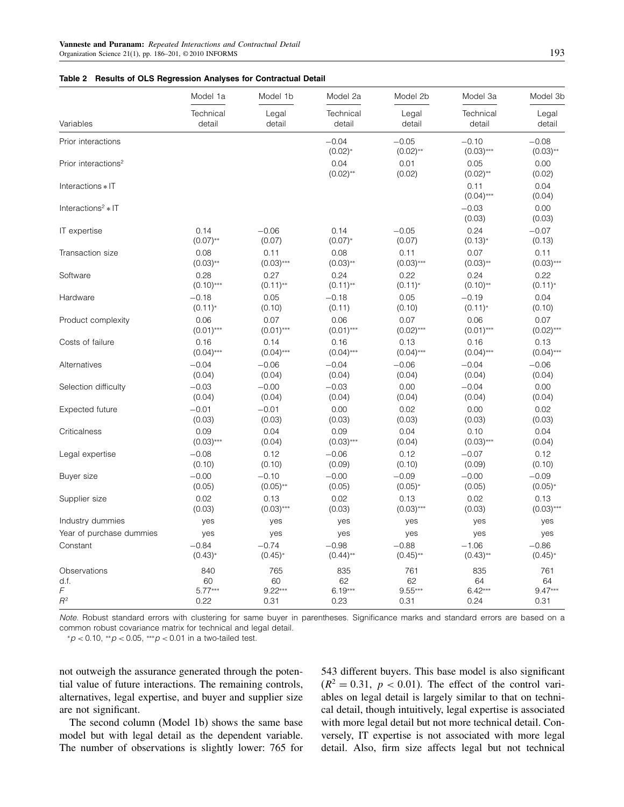|                                  | Model 1a     | Model 1b     | Model 2a                | Model 2b               | Model 3a                | Model 3b               |
|----------------------------------|--------------|--------------|-------------------------|------------------------|-------------------------|------------------------|
| Variables                        | Technical    | Legal        | Technical               | Legal                  | Technical               | Legal                  |
|                                  | detail       | detail       | detail                  | detail                 | detail                  | detail                 |
| Prior interactions               |              |              | $-0.04$<br>$(0.02)^{*}$ | $-0.05$<br>$(0.02)$ ** | $-0.10$<br>$(0.03)$ *** | $-0.08$<br>$(0.03)$ ** |
| Prior interactions <sup>2</sup>  |              |              | 0.04<br>$(0.02)$ **     | 0.01<br>(0.02)         | 0.05<br>$(0.02)$ **     | 0.00<br>(0.02)         |
| Interactions * IT                |              |              |                         |                        | 0.11<br>$(0.04)$ ***    | 0.04<br>(0.04)         |
| Interactions <sup>2</sup> $*$ IT |              |              |                         |                        | $-0.03$<br>(0.03)       | 0.00<br>(0.03)         |
| IT expertise                     | 0.14         | $-0.06$      | 0.14                    | $-0.05$                | 0.24                    | $-0.07$                |
|                                  | $(0.07)$ **  | (0.07)       | $(0.07)^*$              | (0.07)                 | $(0.13)^{*}$            | (0.13)                 |
| Transaction size                 | 0.08         | 0.11         | 0.08                    | 0.11                   | 0.07                    | 0.11                   |
|                                  | $(0.03)$ **  | $(0.03)$ *** | $(0.03)$ **             | $(0.03)$ ***           | $(0.03)$ **             | $(0.03)$ ***           |
| Software                         | 0.28         | 0.27         | 0.24                    | 0.22                   | 0.24                    | 0.22                   |
|                                  | $(0.10)$ *** | $(0.11)$ **  | $(0.11)$ **             | $(0.11)^*$             | $(0.10)$ **             | $(0.11)^*$             |
| Hardware                         | $-0.18$      | 0.05         | $-0.18$                 | 0.05                   | $-0.19$                 | 0.04                   |
|                                  | $(0.11)^*$   | (0.10)       | (0.11)                  | (0.10)                 | $(0.11)^*$              | (0.10)                 |
| Product complexity               | 0.06         | 0.07         | 0.06                    | 0.07                   | 0.06                    | 0.07                   |
|                                  | $(0.01)$ *** | $(0.01)$ *** | $(0.01)$ ***            | $(0.02)$ ***           | $(0.01)$ ***            | $(0.02)$ ***           |
| Costs of failure                 | 0.16         | 0.14         | 0.16                    | 0.13                   | 0.16                    | 0.13                   |
|                                  | $(0.04)$ *** | $(0.04)$ *** | $(0.04)$ ***            | $(0.04)$ ***           | $(0.04)$ ***            | $(0.04)$ ***           |
| Alternatives                     | $-0.04$      | $-0.06$      | $-0.04$                 | $-0.06$                | $-0.04$                 | $-0.06$                |
|                                  | (0.04)       | (0.04)       | (0.04)                  | (0.04)                 | (0.04)                  | (0.04)                 |
| Selection difficulty             | $-0.03$      | $-0.00$      | $-0.03$                 | 0.00                   | $-0.04$                 | 0.00                   |
|                                  | (0.04)       | (0.04)       | (0.04)                  | (0.04)                 | (0.04)                  | (0.04)                 |
| Expected future                  | $-0.01$      | $-0.01$      | 0.00                    | 0.02                   | 0.00                    | 0.02                   |
|                                  | (0.03)       | (0.03)       | (0.03)                  | (0.03)                 | (0.03)                  | (0.03)                 |
| Criticalness                     | 0.09         | 0.04         | 0.09                    | 0.04                   | 0.10                    | 0.04                   |
|                                  | $(0.03)$ *** | (0.04)       | $(0.03)$ ***            | (0.04)                 | $(0.03)$ ***            | (0.04)                 |
| Legal expertise                  | $-0.08$      | 0.12         | $-0.06$                 | 0.12                   | $-0.07$                 | 0.12                   |
|                                  | (0.10)       | (0.10)       | (0.09)                  | (0.10)                 | (0.09)                  | (0.10)                 |
| Buyer size                       | $-0.00$      | $-0.10$      | $-0.00$                 | $-0.09$                | $-0.00$                 | $-0.09$                |
|                                  | (0.05)       | $(0.05)$ **  | (0.05)                  | $(0.05)^*$             | (0.05)                  | $(0.05)^*$             |
| Supplier size                    | 0.02         | 0.13         | 0.02                    | 0.13                   | 0.02                    | 0.13                   |
|                                  | (0.03)       | $(0.03)$ *** | (0.03)                  | $(0.03)$ ***           | (0.03)                  | $(0.03)$ ***           |
| Industry dummies                 | yes          | yes          | yes                     | yes                    | yes                     | yes                    |
| Year of purchase dummies         | yes          | yes          | yes                     | yes                    | yes                     | yes                    |
| Constant                         | $-0.84$      | $-0.74$      | $-0.98$                 | $-0.88$                | $-1.06$                 | $-0.86$                |
|                                  | $(0.43)*$    | $(0.45)*$    | $(0.44)$ **             | $(0.45)$ **            | $(0.43)$ **             | $(0.45)*$              |
| Observations                     | 840          | 765          | 835                     | 761                    | 835                     | 761                    |
| d.f.                             | 60           | 60           | 62                      | 62                     | 64                      | 64                     |
| $\digamma$                       | 5.77***      | $9.22***$    | $6.19***$               | 9.55***                | $6.42***$               | 9.47***                |
| $R^2$                            | 0.22         | 0.31         | 0.23                    | 0.31                   | 0.24                    | 0.31                   |

Note. Robust standard errors with clustering for same buyer in parentheses. Significance marks and standard errors are based on a common robust covariance matrix for technical and legal detail.

 ${}^{*}p$  < 0.10,  ${}^{**}p$  < 0.05,  ${}^{***}p$  < 0.01 in a two-tailed test.

not outweigh the assurance generated through the potential value of future interactions. The remaining controls, alternatives, legal expertise, and buyer and supplier size are not significant.

The second column (Model 1b) shows the same base model but with legal detail as the dependent variable. The number of observations is slightly lower: 765 for 543 different buyers. This base model is also significant  $(R^2 = 0.31, p < 0.01)$ . The effect of the control variables on legal detail is largely similar to that on technical detail, though intuitively, legal expertise is associated with more legal detail but not more technical detail. Conversely, IT expertise is not associated with more legal detail. Also, firm size affects legal but not technical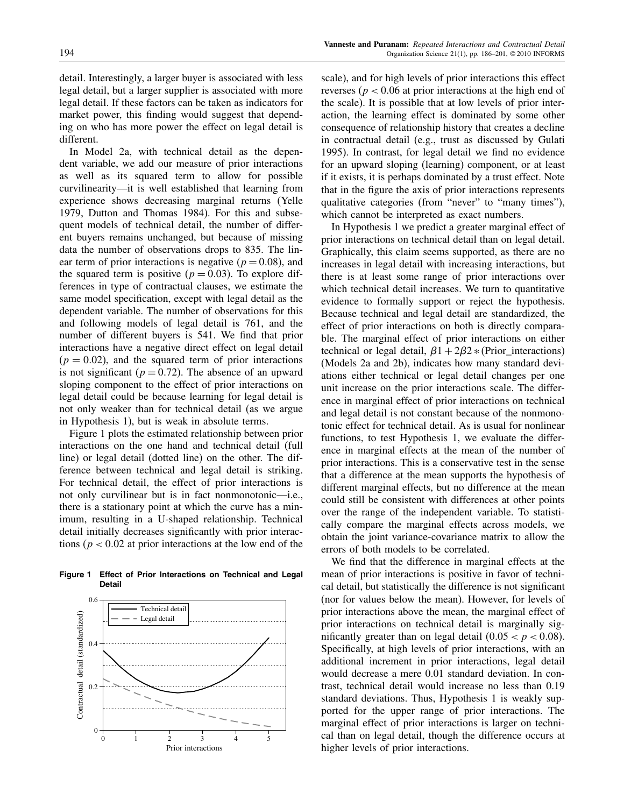detail. Interestingly, a larger buyer is associated with less legal detail, but a larger supplier is associated with more legal detail. If these factors can be taken as indicators for market power, this finding would suggest that depending on who has more power the effect on legal detail is different.

In Model 2a, with technical detail as the dependent variable, we add our measure of prior interactions as well as its squared term to allow for possible curvilinearity—it is well established that learning from experience shows decreasing marginal returns (Yelle 1979, Dutton and Thomas 1984). For this and subsequent models of technical detail, the number of different buyers remains unchanged, but because of missing data the number of observations drops to 835. The linear term of prior interactions is negative ( $p = 0.08$ ), and the squared term is positive  $(p = 0.03)$ . To explore differences in type of contractual clauses, we estimate the same model specification, except with legal detail as the dependent variable. The number of observations for this and following models of legal detail is 761, and the number of different buyers is 541. We find that prior interactions have a negative direct effect on legal detail  $(p = 0.02)$ , and the squared term of prior interactions is not significant ( $p = 0.72$ ). The absence of an upward sloping component to the effect of prior interactions on legal detail could be because learning for legal detail is not only weaker than for technical detail (as we argue in Hypothesis 1), but is weak in absolute terms.

Figure 1 plots the estimated relationship between prior interactions on the one hand and technical detail (full line) or legal detail (dotted line) on the other. The difference between technical and legal detail is striking. For technical detail, the effect of prior interactions is not only curvilinear but is in fact nonmonotonic—i.e., there is a stationary point at which the curve has a minimum, resulting in a U-shaped relationship. Technical detail initially decreases significantly with prior interactions ( $p < 0.02$  at prior interactions at the low end of the

Figure 1 Effect of Prior Interactions on Technical and Legal Detail



scale), and for high levels of prior interactions this effect reverses ( $p < 0.06$  at prior interactions at the high end of the scale). It is possible that at low levels of prior interaction, the learning effect is dominated by some other consequence of relationship history that creates a decline in contractual detail (e.g., trust as discussed by Gulati 1995). In contrast, for legal detail we find no evidence for an upward sloping (learning) component, or at least if it exists, it is perhaps dominated by a trust effect. Note that in the figure the axis of prior interactions represents qualitative categories (from "never" to "many times"), which cannot be interpreted as exact numbers.

In Hypothesis 1 we predict a greater marginal effect of prior interactions on technical detail than on legal detail. Graphically, this claim seems supported, as there are no increases in legal detail with increasing interactions, but there is at least some range of prior interactions over which technical detail increases. We turn to quantitative evidence to formally support or reject the hypothesis. Because technical and legal detail are standardized, the effect of prior interactions on both is directly comparable. The marginal effect of prior interactions on either technical or legal detail,  $\beta$ 1 + 2 $\beta$ 2 \* (Prior\_interactions) (Models 2a and 2b), indicates how many standard deviations either technical or legal detail changes per one unit increase on the prior interactions scale. The difference in marginal effect of prior interactions on technical and legal detail is not constant because of the nonmonotonic effect for technical detail. As is usual for nonlinear functions, to test Hypothesis 1, we evaluate the difference in marginal effects at the mean of the number of prior interactions. This is a conservative test in the sense that a difference at the mean supports the hypothesis of different marginal effects, but no difference at the mean could still be consistent with differences at other points over the range of the independent variable. To statistically compare the marginal effects across models, we obtain the joint variance-covariance matrix to allow the errors of both models to be correlated.

We find that the difference in marginal effects at the mean of prior interactions is positive in favor of technical detail, but statistically the difference is not significant (nor for values below the mean). However, for levels of prior interactions above the mean, the marginal effect of prior interactions on technical detail is marginally significantly greater than on legal detail  $(0.05 < p < 0.08)$ . Specifically, at high levels of prior interactions, with an additional increment in prior interactions, legal detail would decrease a mere 0.01 standard deviation. In contrast, technical detail would increase no less than 0.19 standard deviations. Thus, Hypothesis 1 is weakly supported for the upper range of prior interactions. The marginal effect of prior interactions is larger on technical than on legal detail, though the difference occurs at higher levels of prior interactions.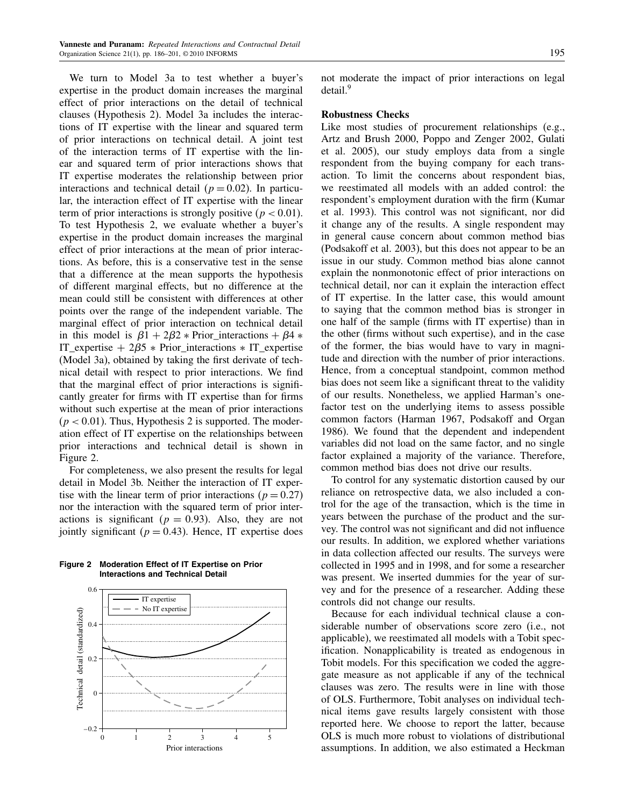We turn to Model 3a to test whether a buyer's expertise in the product domain increases the marginal effect of prior interactions on the detail of technical clauses (Hypothesis 2). Model 3a includes the interactions of IT expertise with the linear and squared term of prior interactions on technical detail. A joint test of the interaction terms of IT expertise with the linear and squared term of prior interactions shows that IT expertise moderates the relationship between prior interactions and technical detail  $(p = 0.02)$ . In particular, the interaction effect of IT expertise with the linear term of prior interactions is strongly positive ( $p < 0.01$ ). To test Hypothesis 2, we evaluate whether a buyer's expertise in the product domain increases the marginal effect of prior interactions at the mean of prior interactions. As before, this is a conservative test in the sense that a difference at the mean supports the hypothesis of different marginal effects, but no difference at the mean could still be consistent with differences at other points over the range of the independent variable. The marginal effect of prior interaction on technical detail in this model is  $\beta$ 1 + 2 $\beta$ 2 \* Prior\_interactions +  $\beta$ 4 \* IT\_expertise +  $2\beta 5 \times$  Prior\_interactions  $*$  IT\_expertise (Model 3a), obtained by taking the first derivate of technical detail with respect to prior interactions. We find that the marginal effect of prior interactions is significantly greater for firms with IT expertise than for firms without such expertise at the mean of prior interactions  $(p < 0.01)$ . Thus, Hypothesis 2 is supported. The moderation effect of IT expertise on the relationships between prior interactions and technical detail is shown in Figure 2.

For completeness, we also present the results for legal detail in Model 3b. Neither the interaction of IT expertise with the linear term of prior interactions ( $p = 0.27$ ) nor the interaction with the squared term of prior interactions is significant ( $p = 0.93$ ). Also, they are not jointly significant ( $p = 0.43$ ). Hence, IT expertise does

#### Figure 2 Moderation Effect of IT Expertise on Prior Interactions and Technical Detail



not moderate the impact of prior interactions on legal detail.<sup>9</sup>

#### Robustness Checks

Like most studies of procurement relationships (e.g., Artz and Brush 2000, Poppo and Zenger 2002, Gulati et al. 2005), our study employs data from a single respondent from the buying company for each transaction. To limit the concerns about respondent bias, we reestimated all models with an added control: the respondent's employment duration with the firm (Kumar et al. 1993). This control was not significant, nor did it change any of the results. A single respondent may in general cause concern about common method bias (Podsakoff et al. 2003), but this does not appear to be an issue in our study. Common method bias alone cannot explain the nonmonotonic effect of prior interactions on technical detail, nor can it explain the interaction effect of IT expertise. In the latter case, this would amount to saying that the common method bias is stronger in one half of the sample (firms with IT expertise) than in the other (firms without such expertise), and in the case of the former, the bias would have to vary in magnitude and direction with the number of prior interactions. Hence, from a conceptual standpoint, common method bias does not seem like a significant threat to the validity of our results. Nonetheless, we applied Harman's onefactor test on the underlying items to assess possible common factors (Harman 1967, Podsakoff and Organ 1986). We found that the dependent and independent variables did not load on the same factor, and no single factor explained a majority of the variance. Therefore, common method bias does not drive our results.

To control for any systematic distortion caused by our reliance on retrospective data, we also included a control for the age of the transaction, which is the time in years between the purchase of the product and the survey. The control was not significant and did not influence our results. In addition, we explored whether variations in data collection affected our results. The surveys were collected in 1995 and in 1998, and for some a researcher was present. We inserted dummies for the year of survey and for the presence of a researcher. Adding these controls did not change our results.

Because for each individual technical clause a considerable number of observations score zero (i.e., not applicable), we reestimated all models with a Tobit specification. Nonapplicability is treated as endogenous in Tobit models. For this specification we coded the aggregate measure as not applicable if any of the technical clauses was zero. The results were in line with those of OLS. Furthermore, Tobit analyses on individual technical items gave results largely consistent with those reported here. We choose to report the latter, because OLS is much more robust to violations of distributional assumptions. In addition, we also estimated a Heckman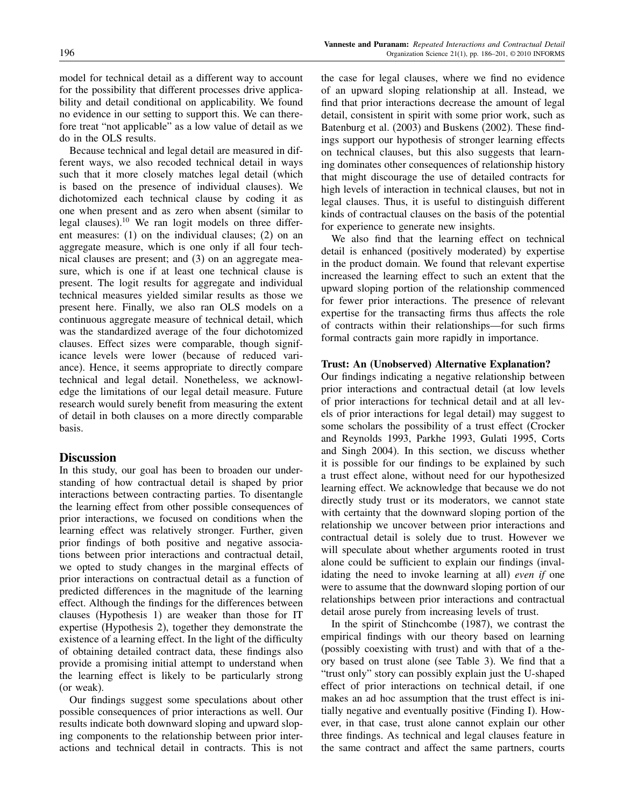model for technical detail as a different way to account for the possibility that different processes drive applicability and detail conditional on applicability. We found no evidence in our setting to support this. We can therefore treat "not applicable" as a low value of detail as we do in the OLS results.

Because technical and legal detail are measured in different ways, we also recoded technical detail in ways such that it more closely matches legal detail (which is based on the presence of individual clauses). We dichotomized each technical clause by coding it as one when present and as zero when absent (similar to legal clauses).10 We ran logit models on three different measures: (1) on the individual clauses; (2) on an aggregate measure, which is one only if all four technical clauses are present; and (3) on an aggregate measure, which is one if at least one technical clause is present. The logit results for aggregate and individual technical measures yielded similar results as those we present here. Finally, we also ran OLS models on a continuous aggregate measure of technical detail, which was the standardized average of the four dichotomized clauses. Effect sizes were comparable, though significance levels were lower (because of reduced variance). Hence, it seems appropriate to directly compare technical and legal detail. Nonetheless, we acknowledge the limitations of our legal detail measure. Future research would surely benefit from measuring the extent of detail in both clauses on a more directly comparable basis.

# **Discussion**

In this study, our goal has been to broaden our understanding of how contractual detail is shaped by prior interactions between contracting parties. To disentangle the learning effect from other possible consequences of prior interactions, we focused on conditions when the learning effect was relatively stronger. Further, given prior findings of both positive and negative associations between prior interactions and contractual detail, we opted to study changes in the marginal effects of prior interactions on contractual detail as a function of predicted differences in the magnitude of the learning effect. Although the findings for the differences between clauses (Hypothesis 1) are weaker than those for IT expertise (Hypothesis 2), together they demonstrate the existence of a learning effect. In the light of the difficulty of obtaining detailed contract data, these findings also provide a promising initial attempt to understand when the learning effect is likely to be particularly strong (or weak).

Our findings suggest some speculations about other possible consequences of prior interactions as well. Our results indicate both downward sloping and upward sloping components to the relationship between prior interactions and technical detail in contracts. This is not

the case for legal clauses, where we find no evidence of an upward sloping relationship at all. Instead, we find that prior interactions decrease the amount of legal detail, consistent in spirit with some prior work, such as Batenburg et al. (2003) and Buskens (2002). These findings support our hypothesis of stronger learning effects on technical clauses, but this also suggests that learning dominates other consequences of relationship history that might discourage the use of detailed contracts for high levels of interaction in technical clauses, but not in legal clauses. Thus, it is useful to distinguish different kinds of contractual clauses on the basis of the potential for experience to generate new insights.

We also find that the learning effect on technical detail is enhanced (positively moderated) by expertise in the product domain. We found that relevant expertise increased the learning effect to such an extent that the upward sloping portion of the relationship commenced for fewer prior interactions. The presence of relevant expertise for the transacting firms thus affects the role of contracts within their relationships—for such firms formal contracts gain more rapidly in importance.

## Trust: An (Unobserved) Alternative Explanation?

Our findings indicating a negative relationship between prior interactions and contractual detail (at low levels of prior interactions for technical detail and at all levels of prior interactions for legal detail) may suggest to some scholars the possibility of a trust effect (Crocker and Reynolds 1993, Parkhe 1993, Gulati 1995, Corts and Singh 2004). In this section, we discuss whether it is possible for our findings to be explained by such a trust effect alone, without need for our hypothesized learning effect. We acknowledge that because we do not directly study trust or its moderators, we cannot state with certainty that the downward sloping portion of the relationship we uncover between prior interactions and contractual detail is solely due to trust. However we will speculate about whether arguments rooted in trust alone could be sufficient to explain our findings (invalidating the need to invoke learning at all) even if one were to assume that the downward sloping portion of our relationships between prior interactions and contractual detail arose purely from increasing levels of trust.

In the spirit of Stinchcombe (1987), we contrast the empirical findings with our theory based on learning (possibly coexisting with trust) and with that of a theory based on trust alone (see Table 3). We find that a "trust only" story can possibly explain just the U-shaped effect of prior interactions on technical detail, if one makes an ad hoc assumption that the trust effect is initially negative and eventually positive (Finding I). However, in that case, trust alone cannot explain our other three findings. As technical and legal clauses feature in the same contract and affect the same partners, courts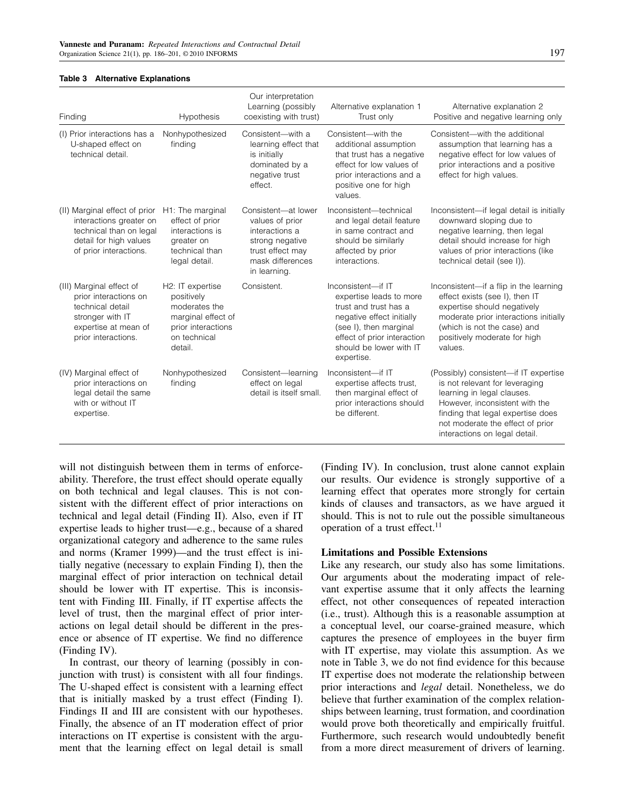#### Table 3 Alternative Explanations

| Finding                                                                                                                                                  | Hypothesis                                                                                                             | Our interpretation<br>Learning (possibly<br>coexisting with trust)                                                                  | Alternative explanation 1<br>Trust only                                                                                                                                                               | Alternative explanation 2<br>Positive and negative learning only                                                                                                                                                                                  |
|----------------------------------------------------------------------------------------------------------------------------------------------------------|------------------------------------------------------------------------------------------------------------------------|-------------------------------------------------------------------------------------------------------------------------------------|-------------------------------------------------------------------------------------------------------------------------------------------------------------------------------------------------------|---------------------------------------------------------------------------------------------------------------------------------------------------------------------------------------------------------------------------------------------------|
| (I) Prior interactions has a<br>U-shaped effect on<br>technical detail.                                                                                  | Nonhypothesized<br>finding                                                                                             | Consistent-with a<br>learning effect that<br>is initially<br>dominated by a<br>negative trust<br>effect.                            | Consistent-with the<br>additional assumption<br>that trust has a negative<br>effect for low values of<br>prior interactions and a<br>positive one for high<br>values.                                 | Consistent-with the additional<br>assumption that learning has a<br>negative effect for low values of<br>prior interactions and a positive<br>effect for high values.                                                                             |
| (II) Marginal effect of prior H1: The marginal<br>interactions greater on<br>technical than on legal<br>detail for high values<br>of prior interactions. | effect of prior<br>interactions is<br>greater on<br>technical than<br>legal detail.                                    | Consistent-at lower<br>values of prior<br>interactions a<br>strong negative<br>trust effect may<br>mask differences<br>in learning. | Inconsistent-technical<br>and legal detail feature<br>in same contract and<br>should be similarly<br>affected by prior<br>interactions.                                                               | Inconsistent-if legal detail is initially<br>downward sloping due to<br>negative learning, then legal<br>detail should increase for high<br>values of prior interactions (like<br>technical detail (see I)).                                      |
| (III) Marginal effect of<br>prior interactions on<br>technical detail<br>stronger with IT<br>expertise at mean of<br>prior interactions.                 | H2: IT expertise<br>positively<br>moderates the<br>marginal effect of<br>prior interactions<br>on technical<br>detail. | Consistent.                                                                                                                         | Inconsistent-if IT<br>expertise leads to more<br>trust and trust has a<br>negative effect initially<br>(see I), then marginal<br>effect of prior interaction<br>should be lower with IT<br>expertise. | Inconsistent-if a flip in the learning<br>effect exists (see I), then IT<br>expertise should negatively<br>moderate prior interactions initially<br>(which is not the case) and<br>positively moderate for high<br>values.                        |
| (IV) Marginal effect of<br>prior interactions on<br>legal detail the same<br>with or without IT<br>expertise.                                            | Nonhypothesized<br>finding                                                                                             | Consistent-learning<br>effect on legal<br>detail is itself small.                                                                   | Inconsistent-if IT<br>expertise affects trust,<br>then marginal effect of<br>prior interactions should<br>be different.                                                                               | (Possibly) consistent-if IT expertise<br>is not relevant for leveraging<br>learning in legal clauses.<br>However, inconsistent with the<br>finding that legal expertise does<br>not moderate the effect of prior<br>interactions on legal detail. |

will not distinguish between them in terms of enforceability. Therefore, the trust effect should operate equally on both technical and legal clauses. This is not consistent with the different effect of prior interactions on technical and legal detail (Finding II). Also, even if IT expertise leads to higher trust—e.g., because of a shared organizational category and adherence to the same rules and norms (Kramer 1999)—and the trust effect is initially negative (necessary to explain Finding I), then the marginal effect of prior interaction on technical detail should be lower with IT expertise. This is inconsistent with Finding III. Finally, if IT expertise affects the level of trust, then the marginal effect of prior interactions on legal detail should be different in the presence or absence of IT expertise. We find no difference (Finding IV).

In contrast, our theory of learning (possibly in conjunction with trust) is consistent with all four findings. The U-shaped effect is consistent with a learning effect that is initially masked by a trust effect (Finding I). Findings II and III are consistent with our hypotheses. Finally, the absence of an IT moderation effect of prior interactions on IT expertise is consistent with the argument that the learning effect on legal detail is small (Finding IV). In conclusion, trust alone cannot explain our results. Our evidence is strongly supportive of a learning effect that operates more strongly for certain kinds of clauses and transactors, as we have argued it should. This is not to rule out the possible simultaneous operation of a trust effect.<sup>11</sup>

#### Limitations and Possible Extensions

Like any research, our study also has some limitations. Our arguments about the moderating impact of relevant expertise assume that it only affects the learning effect, not other consequences of repeated interaction (i.e., trust). Although this is a reasonable assumption at a conceptual level, our coarse-grained measure, which captures the presence of employees in the buyer firm with IT expertise, may violate this assumption. As we note in Table 3, we do not find evidence for this because IT expertise does not moderate the relationship between prior interactions and *legal* detail. Nonetheless, we do believe that further examination of the complex relationships between learning, trust formation, and coordination would prove both theoretically and empirically fruitful. Furthermore, such research would undoubtedly benefit from a more direct measurement of drivers of learning.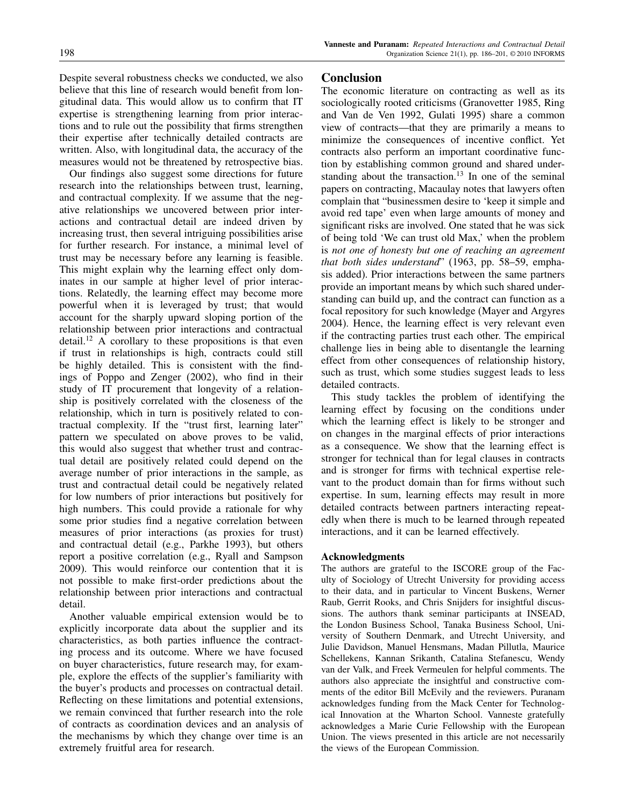Despite several robustness checks we conducted, we also believe that this line of research would benefit from longitudinal data. This would allow us to confirm that IT expertise is strengthening learning from prior interactions and to rule out the possibility that firms strengthen their expertise after technically detailed contracts are written. Also, with longitudinal data, the accuracy of the measures would not be threatened by retrospective bias.

Our findings also suggest some directions for future research into the relationships between trust, learning, and contractual complexity. If we assume that the negative relationships we uncovered between prior interactions and contractual detail are indeed driven by increasing trust, then several intriguing possibilities arise for further research. For instance, a minimal level of trust may be necessary before any learning is feasible. This might explain why the learning effect only dominates in our sample at higher level of prior interactions. Relatedly, the learning effect may become more powerful when it is leveraged by trust; that would account for the sharply upward sloping portion of the relationship between prior interactions and contractual detail.<sup>12</sup> A corollary to these propositions is that even if trust in relationships is high, contracts could still be highly detailed. This is consistent with the findings of Poppo and Zenger (2002), who find in their study of IT procurement that longevity of a relationship is positively correlated with the closeness of the relationship, which in turn is positively related to contractual complexity. If the "trust first, learning later" pattern we speculated on above proves to be valid, this would also suggest that whether trust and contractual detail are positively related could depend on the average number of prior interactions in the sample, as trust and contractual detail could be negatively related for low numbers of prior interactions but positively for high numbers. This could provide a rationale for why some prior studies find a negative correlation between measures of prior interactions (as proxies for trust) and contractual detail (e.g., Parkhe 1993), but others report a positive correlation (e.g., Ryall and Sampson 2009). This would reinforce our contention that it is not possible to make first-order predictions about the relationship between prior interactions and contractual detail.

Another valuable empirical extension would be to explicitly incorporate data about the supplier and its characteristics, as both parties influence the contracting process and its outcome. Where we have focused on buyer characteristics, future research may, for example, explore the effects of the supplier's familiarity with the buyer's products and processes on contractual detail. Reflecting on these limitations and potential extensions, we remain convinced that further research into the role of contracts as coordination devices and an analysis of the mechanisms by which they change over time is an extremely fruitful area for research.

# Conclusion

The economic literature on contracting as well as its sociologically rooted criticisms (Granovetter 1985, Ring and Van de Ven 1992, Gulati 1995) share a common view of contracts—that they are primarily a means to minimize the consequences of incentive conflict. Yet contracts also perform an important coordinative function by establishing common ground and shared understanding about the transaction.<sup>13</sup> In one of the seminal papers on contracting, Macaulay notes that lawyers often complain that "businessmen desire to 'keep it simple and avoid red tape' even when large amounts of money and significant risks are involved. One stated that he was sick of being told 'We can trust old Max,' when the problem is not one of honesty but one of reaching an agreement that both sides understand" (1963, pp. 58-59, emphasis added). Prior interactions between the same partners provide an important means by which such shared understanding can build up, and the contract can function as a focal repository for such knowledge (Mayer and Argyres 2004). Hence, the learning effect is very relevant even if the contracting parties trust each other. The empirical challenge lies in being able to disentangle the learning effect from other consequences of relationship history, such as trust, which some studies suggest leads to less detailed contracts.

This study tackles the problem of identifying the learning effect by focusing on the conditions under which the learning effect is likely to be stronger and on changes in the marginal effects of prior interactions as a consequence. We show that the learning effect is stronger for technical than for legal clauses in contracts and is stronger for firms with technical expertise relevant to the product domain than for firms without such expertise. In sum, learning effects may result in more detailed contracts between partners interacting repeatedly when there is much to be learned through repeated interactions, and it can be learned effectively.

## Acknowledgments

The authors are grateful to the ISCORE group of the Faculty of Sociology of Utrecht University for providing access to their data, and in particular to Vincent Buskens, Werner Raub, Gerrit Rooks, and Chris Snijders for insightful discussions. The authors thank seminar participants at INSEAD, the London Business School, Tanaka Business School, University of Southern Denmark, and Utrecht University, and Julie Davidson, Manuel Hensmans, Madan Pillutla, Maurice Schellekens, Kannan Srikanth, Catalina Stefanescu, Wendy van der Valk, and Freek Vermeulen for helpful comments. The authors also appreciate the insightful and constructive comments of the editor Bill McEvily and the reviewers. Puranam acknowledges funding from the Mack Center for Technological Innovation at the Wharton School. Vanneste gratefully acknowledges a Marie Curie Fellowship with the European Union. The views presented in this article are not necessarily the views of the European Commission.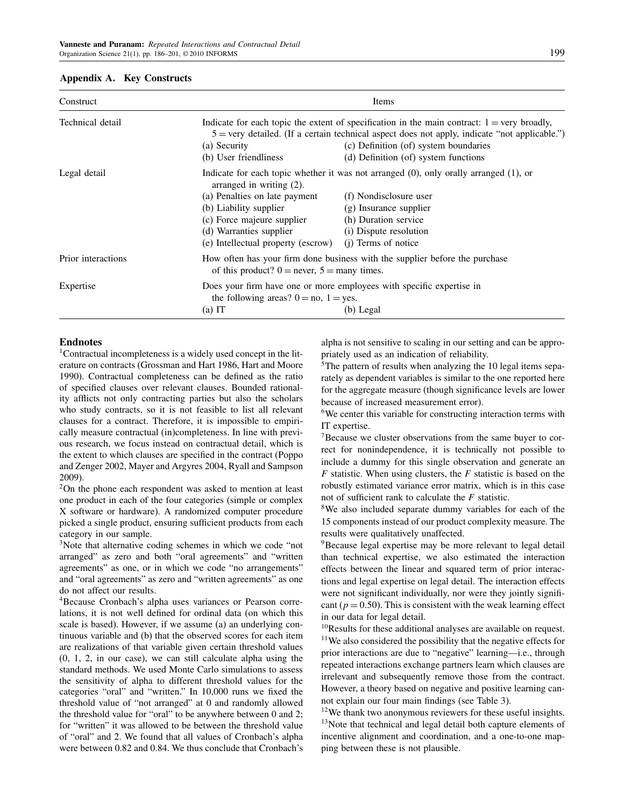| <b>Appendix A. Key Constructs</b> |  |  |
|-----------------------------------|--|--|
|-----------------------------------|--|--|

| Construct          |                                                                                                                                                                                       | Items                                                                                                                                                                                                                                                                                     |  |  |  |
|--------------------|---------------------------------------------------------------------------------------------------------------------------------------------------------------------------------------|-------------------------------------------------------------------------------------------------------------------------------------------------------------------------------------------------------------------------------------------------------------------------------------------|--|--|--|
| Technical detail   | (a) Security<br>(b) User friendliness                                                                                                                                                 | Indicate for each topic the extent of specification in the main contract: $1 = \text{very broadly}$ ,<br>$5 =$ very detailed. (If a certain technical aspect does not apply, indicate "not applicable.")<br>(c) Definition (of) system boundaries<br>(d) Definition (of) system functions |  |  |  |
| Legal detail       | arranged in writing $(2)$ .<br>(a) Penalties on late payment<br>(b) Liability supplier<br>(c) Force majeure supplier<br>(d) Warranties supplier<br>(e) Intellectual property (escrow) | Indicate for each topic whether it was not arranged $(0)$ , only orally arranged $(1)$ , or<br>(f) Nondisclosure user<br>$(g)$ Insurance supplier<br>(h) Duration service<br>(i) Dispute resolution<br>(i) Terms of notice                                                                |  |  |  |
| Prior interactions | How often has your firm done business with the supplier before the purchase<br>of this product? $0 =$ never, $5 =$ many times.                                                        |                                                                                                                                                                                                                                                                                           |  |  |  |
| Expertise          | the following areas? $0 = no$ , $1 = yes$ .<br>$(a)$ IT                                                                                                                               | Does your firm have one or more employees with specific expertise in<br>(b) Legal                                                                                                                                                                                                         |  |  |  |

## Endnotes

 $1$ Contractual incompleteness is a widely used concept in the literature on contracts (Grossman and Hart 1986, Hart and Moore 1990). Contractual completeness can be defined as the ratio of specified clauses over relevant clauses. Bounded rationality afflicts not only contracting parties but also the scholars who study contracts, so it is not feasible to list all relevant clauses for a contract. Therefore, it is impossible to empirically measure contractual (in)completeness. In line with previous research, we focus instead on contractual detail, which is the extent to which clauses are specified in the contract (Poppo and Zenger 2002, Mayer and Argyres 2004, Ryall and Sampson 2009).

2On the phone each respondent was asked to mention at least one product in each of the four categories (simple or complex X software or hardware). A randomized computer procedure picked a single product, ensuring sufficient products from each category in our sample.

<sup>3</sup>Note that alternative coding schemes in which we code "not" arranged" as zero and both "oral agreements" and "written agreements" as one, or in which we code "no arrangements" and "oral agreements" as zero and "written agreements" as one do not affect our results.

4Because Cronbach's alpha uses variances or Pearson correlations, it is not well defined for ordinal data (on which this scale is based). However, if we assume (a) an underlying continuous variable and (b) that the observed scores for each item are realizations of that variable given certain threshold values (0, 1, 2, in our case), we can still calculate alpha using the standard methods. We used Monte Carlo simulations to assess the sensitivity of alpha to different threshold values for the categories "oral" and "written." In 10,000 runs we fixed the threshold value of "not arranged" at 0 and randomly allowed the threshold value for "oral" to be anywhere between 0 and 2; for "written" it was allowed to be between the threshold value of "oral" and 2. We found that all values of Cronbach's alpha were between 0.82 and 0.84. We thus conclude that Cronbach's

alpha is not sensitive to scaling in our setting and can be appropriately used as an indication of reliability.

<sup>5</sup>The pattern of results when analyzing the 10 legal items separately as dependent variables is similar to the one reported here for the aggregate measure (though significance levels are lower because of increased measurement error).

6We center this variable for constructing interaction terms with IT expertise.

<sup>7</sup>Because we cluster observations from the same buyer to correct for nonindependence, it is technically not possible to include a dummy for this single observation and generate an  $F$  statistic. When using clusters, the  $F$  statistic is based on the robustly estimated variance error matrix, which is in this case not of sufficient rank to calculate the F statistic.

8We also included separate dummy variables for each of the 15 components instead of our product complexity measure. The results were qualitatively unaffected.

<sup>9</sup>Because legal expertise may be more relevant to legal detail than technical expertise, we also estimated the interaction effects between the linear and squared term of prior interactions and legal expertise on legal detail. The interaction effects were not significant individually, nor were they jointly significant ( $p = 0.50$ ). This is consistent with the weak learning effect in our data for legal detail.

10Results for these additional analyses are available on request. <sup>11</sup>We also considered the possibility that the negative effects for prior interactions are due to "negative" learning—i.e., through repeated interactions exchange partners learn which clauses are irrelevant and subsequently remove those from the contract. However, a theory based on negative and positive learning cannot explain our four main findings (see Table 3).

<sup>12</sup>We thank two anonymous reviewers for these useful insights.  $13$ Note that technical and legal detail both capture elements of incentive alignment and coordination, and a one-to-one mapping between these is not plausible.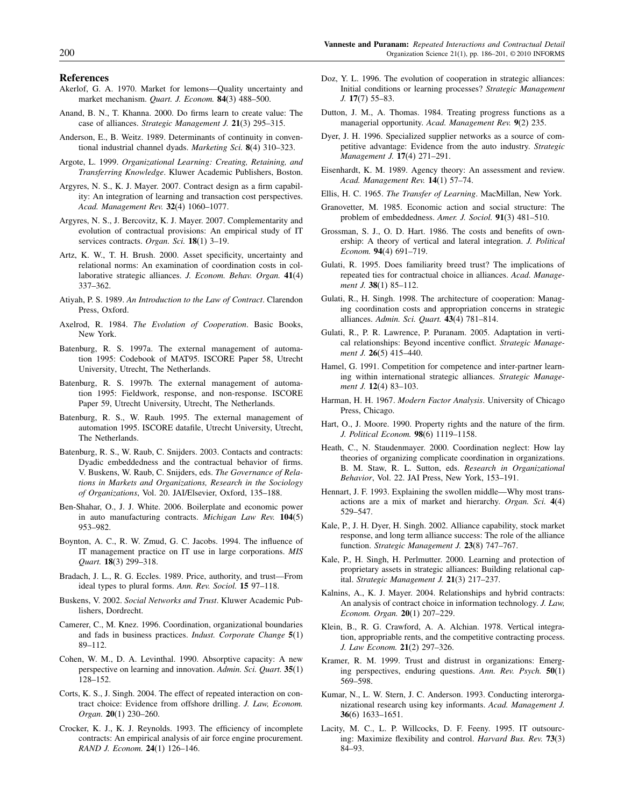References

- Akerlof, G. A. 1970. Market for lemons—Quality uncertainty and market mechanism. Quart. J. Econom. 84(3) 488–500.
- Anand, B. N., T. Khanna. 2000. Do firms learn to create value: The case of alliances. Strategic Management J. 21(3) 295-315.
- Anderson, E., B. Weitz. 1989. Determinants of continuity in conventional industrial channel dyads. Marketing Sci. 8(4) 310–323.
- Argote, L. 1999. Organizational Learning: Creating, Retaining, and Transferring Knowledge. Kluwer Academic Publishers, Boston.
- Argyres, N. S., K. J. Mayer. 2007. Contract design as a firm capability: An integration of learning and transaction cost perspectives. Acad. Management Rev. 32(4) 1060–1077.
- Argyres, N. S., J. Bercovitz, K. J. Mayer. 2007. Complementarity and evolution of contractual provisions: An empirical study of IT services contracts. Organ. Sci. 18(1) 3-19.
- Artz, K. W., T. H. Brush. 2000. Asset specificity, uncertainty and relational norms: An examination of coordination costs in collaborative strategic alliances. J. Econom. Behav. Organ. 41(4) 337–362.
- Atiyah, P. S. 1989. An Introduction to the Law of Contract. Clarendon Press, Oxford.
- Axelrod, R. 1984. The Evolution of Cooperation. Basic Books, New York.
- Batenburg, R. S. 1997a. The external management of automation 1995: Codebook of MAT95. ISCORE Paper 58, Utrecht University, Utrecht, The Netherlands.
- Batenburg, R. S. 1997b. The external management of automation 1995: Fieldwork, response, and non-response. ISCORE Paper 59, Utrecht University, Utrecht, The Netherlands.
- Batenburg, R. S., W. Raub. 1995. The external management of automation 1995. ISCORE datafile, Utrecht University, Utrecht, The Netherlands.
- Batenburg, R. S., W. Raub, C. Snijders. 2003. Contacts and contracts: Dyadic embeddedness and the contractual behavior of firms. V. Buskens, W. Raub, C. Snijders, eds. The Governance of Relations in Markets and Organizations, Research in the Sociology of Organizations, Vol. 20. JAI/Elsevier, Oxford, 135–188.
- Ben-Shahar, O., J. J. White. 2006. Boilerplate and economic power in auto manufacturing contracts. Michigan Law Rev. 104(5) 953–982.
- Boynton, A. C., R. W. Zmud, G. C. Jacobs. 1994. The influence of IT management practice on IT use in large corporations. MIS Quart. 18(3) 299–318.
- Bradach, J. L., R. G. Eccles. 1989. Price, authority, and trust—From ideal types to plural forms. Ann. Rev. Sociol. 15 97–118.
- Buskens, V. 2002. Social Networks and Trust. Kluwer Academic Publishers, Dordrecht.
- Camerer, C., M. Knez. 1996. Coordination, organizational boundaries and fads in business practices. *Indust. Corporate Change*  $5(1)$ 89–112.
- Cohen, W. M., D. A. Levinthal. 1990. Absorptive capacity: A new perspective on learning and innovation. Admin. Sci. Quart. 35(1) 128–152.
- Corts, K. S., J. Singh. 2004. The effect of repeated interaction on contract choice: Evidence from offshore drilling. J. Law, Econom. Organ. 20(1) 230–260.
- Crocker, K. J., K. J. Reynolds. 1993. The efficiency of incomplete contracts: An empirical analysis of air force engine procurement. RAND J. Econom. 24(1) 126–146.
- Doz, Y. L. 1996. The evolution of cooperation in strategic alliances: Initial conditions or learning processes? Strategic Management J. 17(7) 55–83.
- Dutton, J. M., A. Thomas. 1984. Treating progress functions as a managerial opportunity. Acad. Management Rev. 9(2) 235.
- Dyer, J. H. 1996. Specialized supplier networks as a source of competitive advantage: Evidence from the auto industry. Strategic Management J. 17(4) 271–291.
- Eisenhardt, K. M. 1989. Agency theory: An assessment and review. Acad. Management Rev. 14(1) 57–74.
- Ellis, H. C. 1965. The Transfer of Learning. MacMillan, New York.
- Granovetter, M. 1985. Economic action and social structure: The problem of embeddedness. Amer. J. Sociol. 91(3) 481–510.
- Grossman, S. J., O. D. Hart. 1986. The costs and benefits of ownership: A theory of vertical and lateral integration. J. Political Econom. 94(4) 691–719.
- Gulati, R. 1995. Does familiarity breed trust? The implications of repeated ties for contractual choice in alliances. Acad. Management J. 38(1) 85-112.
- Gulati, R., H. Singh. 1998. The architecture of cooperation: Managing coordination costs and appropriation concerns in strategic alliances. Admin. Sci. Quart. 43(4) 781–814.
- Gulati, R., P. R. Lawrence, P. Puranam. 2005. Adaptation in vertical relationships: Beyond incentive conflict. Strategic Management J. 26(5) 415-440.
- Hamel, G. 1991. Competition for competence and inter-partner learning within international strategic alliances. Strategic Management J.  $12(4)$  83-103.
- Harman, H. H. 1967. Modern Factor Analysis. University of Chicago Press, Chicago.
- Hart, O., J. Moore. 1990. Property rights and the nature of the firm. J. Political Econom. 98(6) 1119–1158.
- Heath, C., N. Staudenmayer. 2000. Coordination neglect: How lay theories of organizing complicate coordination in organizations. B. M. Staw, R. L. Sutton, eds. Research in Organizational Behavior, Vol. 22. JAI Press, New York, 153–191.
- Hennart, J. F. 1993. Explaining the swollen middle—Why most transactions are a mix of market and hierarchy. Organ. Sci. 4(4) 529–547.
- Kale, P., J. H. Dyer, H. Singh. 2002. Alliance capability, stock market response, and long term alliance success: The role of the alliance function. Strategic Management J. 23(8) 747–767.
- Kale, P., H. Singh, H. Perlmutter. 2000. Learning and protection of proprietary assets in strategic alliances: Building relational capital. Strategic Management J. 21(3) 217–237.
- Kalnins, A., K. J. Mayer. 2004. Relationships and hybrid contracts: An analysis of contract choice in information technology. J. Law, Econom. Organ. 20(1) 207–229.
- Klein, B., R. G. Crawford, A. A. Alchian. 1978. Vertical integration, appropriable rents, and the competitive contracting process. J. Law Econom. 21(2) 297–326.
- Kramer, R. M. 1999. Trust and distrust in organizations: Emerging perspectives, enduring questions. Ann. Rev. Psych. 50(1) 569–598.
- Kumar, N., L. W. Stern, J. C. Anderson. 1993. Conducting interorganizational research using key informants. Acad. Management J. 36(6) 1633–1651.
- Lacity, M. C., L. P. Willcocks, D. F. Feeny. 1995. IT outsourcing: Maximize flexibility and control. Harvard Bus. Rev. 73(3) 84–93.